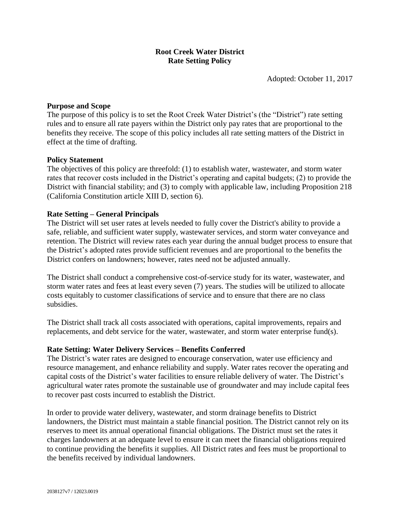# **Root Creek Water District Rate Setting Policy**

Adopted: October 11, 2017

# **Purpose and Scope**

The purpose of this policy is to set the Root Creek Water District's (the "District") rate setting rules and to ensure all rate payers within the District only pay rates that are proportional to the benefits they receive. The scope of this policy includes all rate setting matters of the District in effect at the time of drafting.

# **Policy Statement**

The objectives of this policy are threefold: (1) to establish water, wastewater, and storm water rates that recover costs included in the District's operating and capital budgets; (2) to provide the District with financial stability; and (3) to comply with applicable law, including Proposition 218 (California Constitution article XIII D, section 6).

# **Rate Setting – General Principals**

The District will set user rates at levels needed to fully cover the District's ability to provide a safe, reliable, and sufficient water supply, wastewater services, and storm water conveyance and retention. The District will review rates each year during the annual budget process to ensure that the District's adopted rates provide sufficient revenues and are proportional to the benefits the District confers on landowners; however, rates need not be adjusted annually.

The District shall conduct a comprehensive cost-of-service study for its water, wastewater, and storm water rates and fees at least every seven (7) years. The studies will be utilized to allocate costs equitably to customer classifications of service and to ensure that there are no class subsidies.

The District shall track all costs associated with operations, capital improvements, repairs and replacements, and debt service for the water, wastewater, and storm water enterprise fund(s).

# **Rate Setting: Water Delivery Services – Benefits Conferred**

The District's water rates are designed to encourage conservation, water use efficiency and resource management, and enhance reliability and supply. Water rates recover the operating and capital costs of the District's water facilities to ensure reliable delivery of water. The District's agricultural water rates promote the sustainable use of groundwater and may include capital fees to recover past costs incurred to establish the District.

In order to provide water delivery, wastewater, and storm drainage benefits to District landowners, the District must maintain a stable financial position. The District cannot rely on its reserves to meet its annual operational financial obligations. The District must set the rates it charges landowners at an adequate level to ensure it can meet the financial obligations required to continue providing the benefits it supplies. All District rates and fees must be proportional to the benefits received by individual landowners.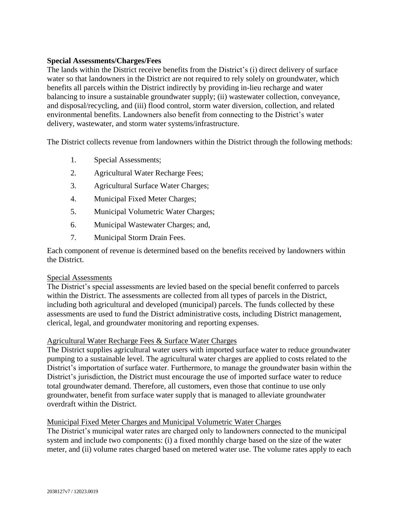# **Special Assessments/Charges/Fees**

The lands within the District receive benefits from the District's (i) direct delivery of surface water so that landowners in the District are not required to rely solely on groundwater, which benefits all parcels within the District indirectly by providing in-lieu recharge and water balancing to insure a sustainable groundwater supply; (ii) wastewater collection, conveyance, and disposal/recycling, and (iii) flood control, storm water diversion, collection, and related environmental benefits. Landowners also benefit from connecting to the District's water delivery, wastewater, and storm water systems/infrastructure.

The District collects revenue from landowners within the District through the following methods:

- 1. Special Assessments;
- 2. Agricultural Water Recharge Fees;
- 3. Agricultural Surface Water Charges;
- 4. Municipal Fixed Meter Charges;
- 5. Municipal Volumetric Water Charges;
- 6. Municipal Wastewater Charges; and,
- 7. Municipal Storm Drain Fees.

Each component of revenue is determined based on the benefits received by landowners within the District.

# Special Assessments

The District's special assessments are levied based on the special benefit conferred to parcels within the District. The assessments are collected from all types of parcels in the District, including both agricultural and developed (municipal) parcels. The funds collected by these assessments are used to fund the District administrative costs, including District management, clerical, legal, and groundwater monitoring and reporting expenses.

# Agricultural Water Recharge Fees & Surface Water Charges

The District supplies agricultural water users with imported surface water to reduce groundwater pumping to a sustainable level. The agricultural water charges are applied to costs related to the District's importation of surface water. Furthermore, to manage the groundwater basin within the District's jurisdiction, the District must encourage the use of imported surface water to reduce total groundwater demand. Therefore, all customers, even those that continue to use only groundwater, benefit from surface water supply that is managed to alleviate groundwater overdraft within the District.

# Municipal Fixed Meter Charges and Municipal Volumetric Water Charges

The District's municipal water rates are charged only to landowners connected to the municipal system and include two components: (i) a fixed monthly charge based on the size of the water meter, and (ii) volume rates charged based on metered water use. The volume rates apply to each